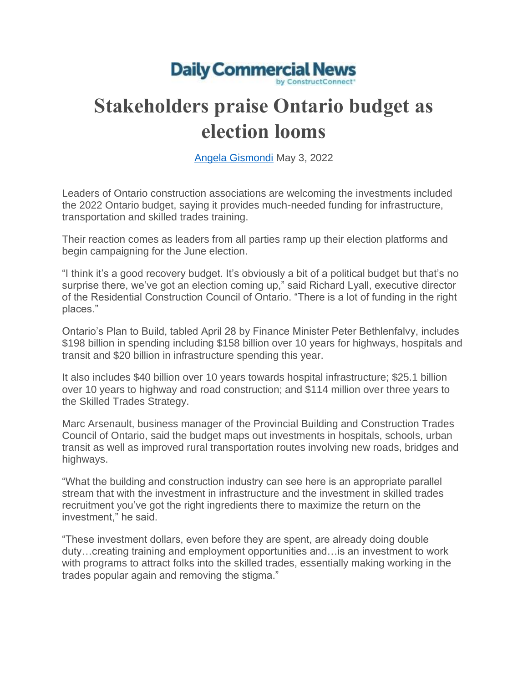

## **Stakeholders praise Ontario budget as election looms**

[Angela Gismondi](https://twitter.com/dcn_angela?lang=en) May 3, 2022

Leaders of Ontario construction associations are welcoming the investments included the 2022 Ontario budget, saying it provides much-needed funding for infrastructure, transportation and skilled trades training.

Their reaction comes as leaders from all parties ramp up their election platforms and begin campaigning for the June election.

"I think it's a good recovery budget. It's obviously a bit of a political budget but that's no surprise there, we've got an election coming up," said Richard Lyall, executive director of the Residential Construction Council of Ontario. "There is a lot of funding in the right places."

Ontario's Plan to Build, tabled April 28 by Finance Minister Peter Bethlenfalvy, includes \$198 billion in spending including \$158 billion over 10 years for highways, hospitals and transit and \$20 billion in infrastructure spending this year.

It also includes \$40 billion over 10 years towards hospital infrastructure; \$25.1 billion over 10 years to highway and road construction; and \$114 million over three years to the Skilled Trades Strategy.

Marc Arsenault, business manager of the Provincial Building and Construction Trades Council of Ontario, said the budget maps out investments in hospitals, schools, urban transit as well as improved rural transportation routes involving new roads, bridges and highways.

"What the building and construction industry can see here is an appropriate parallel stream that with the investment in infrastructure and the investment in skilled trades recruitment you've got the right ingredients there to maximize the return on the investment," he said.

"These investment dollars, even before they are spent, are already doing double duty…creating training and employment opportunities and…is an investment to work with programs to attract folks into the skilled trades, essentially making working in the trades popular again and removing the stigma."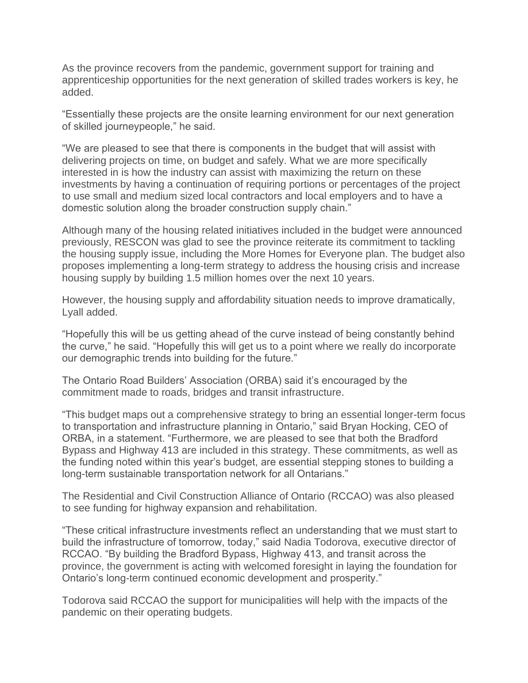As the province recovers from the pandemic, government support for training and apprenticeship opportunities for the next generation of skilled trades workers is key, he added.

"Essentially these projects are the onsite learning environment for our next generation of skilled journeypeople," he said.

"We are pleased to see that there is components in the budget that will assist with delivering projects on time, on budget and safely. What we are more specifically interested in is how the industry can assist with maximizing the return on these investments by having a continuation of requiring portions or percentages of the project to use small and medium sized local contractors and local employers and to have a domestic solution along the broader construction supply chain."

Although many of the housing related initiatives included in the budget were announced previously, RESCON was glad to see the province reiterate its commitment to tackling the housing supply issue, including the More Homes for Everyone plan. The budget also proposes implementing a long-term strategy to address the housing crisis and increase housing supply by building 1.5 million homes over the next 10 years.

However, the housing supply and affordability situation needs to improve dramatically, Lyall added.

"Hopefully this will be us getting ahead of the curve instead of being constantly behind the curve," he said. "Hopefully this will get us to a point where we really do incorporate our demographic trends into building for the future."

The Ontario Road Builders' Association (ORBA) said it's encouraged by the commitment made to roads, bridges and transit infrastructure.

"This budget maps out a comprehensive strategy to bring an essential longer-term focus to transportation and infrastructure planning in Ontario," said Bryan Hocking, CEO of ORBA, in a statement. "Furthermore, we are pleased to see that both the Bradford Bypass and Highway 413 are included in this strategy. These commitments, as well as the funding noted within this year's budget, are essential stepping stones to building a long-term sustainable transportation network for all Ontarians."

The Residential and Civil Construction Alliance of Ontario (RCCAO) was also pleased to see funding for highway expansion and rehabilitation.

"These critical infrastructure investments reflect an understanding that we must start to build the infrastructure of tomorrow, today," said Nadia Todorova, executive director of RCCAO. "By building the Bradford Bypass, Highway 413, and transit across the province, the government is acting with welcomed foresight in laying the foundation for Ontario's long-term continued economic development and prosperity."

Todorova said RCCAO the support for municipalities will help with the impacts of the pandemic on their operating budgets.